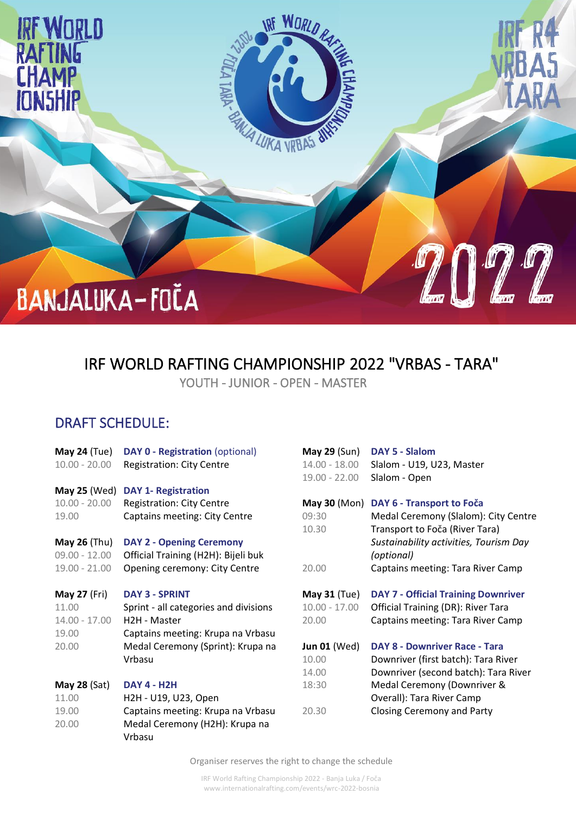

## IRF WORLD RAFTING CHAMPIONSHIP 2022 "VRBAS - TARA"

YOUTH - JUNIOR - OPEN - MASTER

## DRAFT SCHEDULE:

| <b>May 24 (Tue)</b><br>$10.00 - 20.00$ | <b>DAY 0 - Registration (optional)</b><br><b>Registration: City Centre</b> | <b>May 29 (Sun)</b><br>14.00 - 18.00 | DAY 5 - Slalom<br>Slalom - U19, U23, Master |
|----------------------------------------|----------------------------------------------------------------------------|--------------------------------------|---------------------------------------------|
|                                        |                                                                            | $19.00 - 22.00$                      | Slalom - Open                               |
| May 25 (Wed)                           | <b>DAY 1- Registration</b>                                                 |                                      |                                             |
| $10.00 - 20.00$                        | <b>Registration: City Centre</b>                                           | <b>May 30 (Mon)</b>                  | DAY 6 - Transport to Foča                   |
| 19.00                                  | <b>Captains meeting: City Centre</b>                                       | 09:30                                | Medal Ceremony (Slalom): City Centre        |
|                                        |                                                                            | 10.30                                | Transport to Foča (River Tara)              |
| <b>May 26 (Thu)</b>                    | <b>DAY 2 - Opening Ceremony</b>                                            |                                      | Sustainability activities, Tourism Day      |
| $09.00 - 12.00$                        | Official Training (H2H): Bijeli buk                                        |                                      | (optional)                                  |
| $19.00 - 21.00$                        | Opening ceremony: City Centre                                              | 20.00                                | Captains meeting: Tara River Camp           |
| <b>May 27 (Fri)</b>                    | <b>DAY 3 - SPRINT</b>                                                      | <b>May 31 (Tue)</b>                  | <b>DAY 7 - Official Training Downriver</b>  |
| 11.00                                  | Sprint - all categories and divisions                                      | $10.00 - 17.00$                      | <b>Official Training (DR): River Tara</b>   |
| $14.00 - 17.00$                        | H2H - Master                                                               | 20.00                                | Captains meeting: Tara River Camp           |
| 19.00                                  | Captains meeting: Krupa na Vrbasu                                          |                                      |                                             |
| 20.00                                  | Medal Ceremony (Sprint): Krupa na                                          | <b>Jun 01 (Wed)</b>                  | <b>DAY 8 - Downriver Race - Tara</b>        |
|                                        | Vrbasu                                                                     | 10.00                                | Downriver (first batch): Tara River         |
|                                        |                                                                            | 14.00                                | Downriver (second batch): Tara River        |
| <b>May 28 (Sat)</b>                    | <b>DAY 4 - H2H</b>                                                         | 18:30                                | Medal Ceremony (Downriver &                 |
| 11.00                                  | H2H - U19, U23, Open                                                       |                                      | Overall): Tara River Camp                   |
| 19.00                                  | Captains meeting: Krupa na Vrbasu                                          | 20.30                                | Closing Ceremony and Party                  |
| 20.00                                  | Medal Ceremony (H2H): Krupa na                                             |                                      |                                             |
|                                        | Vrbasu                                                                     |                                      |                                             |

Organiser reserves the right to change the schedule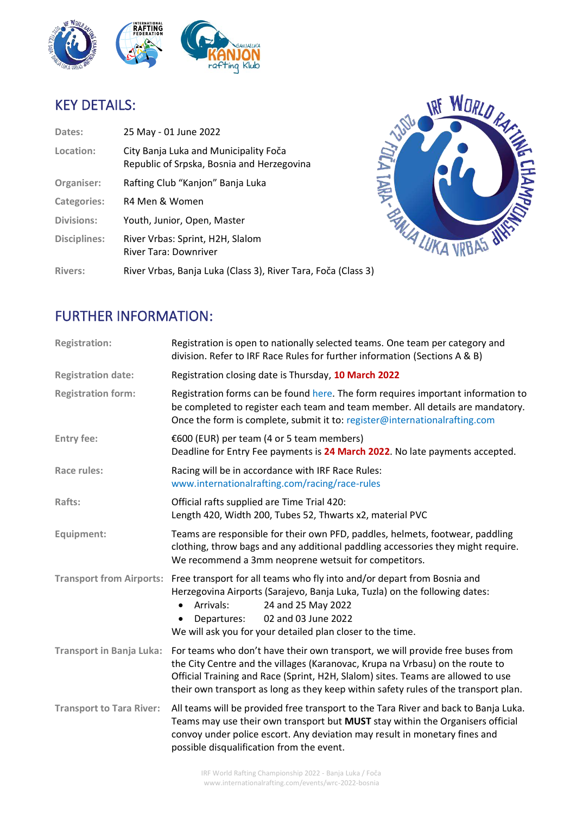

## KEY DETAILS:

| Dates:              | 25 May - 01 June 2022                                                               |
|---------------------|-------------------------------------------------------------------------------------|
| Location:           | City Banja Luka and Municipality Foča<br>Republic of Srpska, Bosnia and Herzegovina |
| Organiser:          | Rafting Club "Kanjon" Banja Luka                                                    |
| <b>Categories:</b>  | R4 Men & Women                                                                      |
| <b>Divisions:</b>   | Youth, Junior, Open, Master                                                         |
| <b>Disciplines:</b> | River Vrbas: Sprint, H2H, Slalom<br>River Tara: Downriver                           |
| <b>Rivers:</b>      | River Vrbas, Banja Luka (Class 3), River Tara, Foča (Class 3)                       |



## FURTHER INFORMATION:

| <b>Registration:</b>            | Registration is open to nationally selected teams. One team per category and<br>division. Refer to IRF Race Rules for further information (Sections A & B)                                                                                                                                                                                |  |
|---------------------------------|-------------------------------------------------------------------------------------------------------------------------------------------------------------------------------------------------------------------------------------------------------------------------------------------------------------------------------------------|--|
| <b>Registration date:</b>       | Registration closing date is Thursday, 10 March 2022                                                                                                                                                                                                                                                                                      |  |
| <b>Registration form:</b>       | Registration forms can be found here. The form requires important information to<br>be completed to register each team and team member. All details are mandatory.<br>Once the form is complete, submit it to: register@internationalrafting.com                                                                                          |  |
| <b>Entry fee:</b>               | €600 (EUR) per team (4 or 5 team members)<br>Deadline for Entry Fee payments is 24 March 2022. No late payments accepted.                                                                                                                                                                                                                 |  |
| Race rules:                     | Racing will be in accordance with IRF Race Rules:<br>www.internationalrafting.com/racing/race-rules                                                                                                                                                                                                                                       |  |
| Rafts:                          | Official rafts supplied are Time Trial 420:<br>Length 420, Width 200, Tubes 52, Thwarts x2, material PVC                                                                                                                                                                                                                                  |  |
| Equipment:                      | Teams are responsible for their own PFD, paddles, helmets, footwear, paddling<br>clothing, throw bags and any additional paddling accessories they might require.<br>We recommend a 3mm neoprene wetsuit for competitors.                                                                                                                 |  |
| <b>Transport from Airports:</b> | Free transport for all teams who fly into and/or depart from Bosnia and<br>Herzegovina Airports (Sarajevo, Banja Luka, Tuzla) on the following dates:<br>24 and 25 May 2022<br>Arrivals:<br>$\bullet$<br>02 and 03 June 2022<br>Departures:<br>We will ask you for your detailed plan closer to the time.                                 |  |
| <b>Transport in Banja Luka:</b> | For teams who don't have their own transport, we will provide free buses from<br>the City Centre and the villages (Karanovac, Krupa na Vrbasu) on the route to<br>Official Training and Race (Sprint, H2H, Slalom) sites. Teams are allowed to use<br>their own transport as long as they keep within safety rules of the transport plan. |  |
| <b>Transport to Tara River:</b> | All teams will be provided free transport to the Tara River and back to Banja Luka.<br>Teams may use their own transport but MUST stay within the Organisers official<br>convoy under police escort. Any deviation may result in monetary fines and<br>possible disqualification from the event.                                          |  |